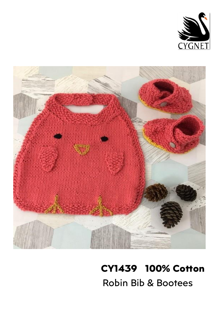



# **CY1439 100% Cotton**  Robin Bib & Bootees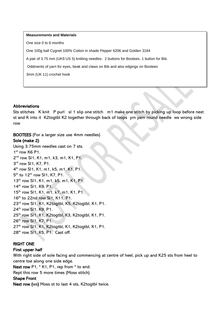#### **Measurements and Materials**

One size 0 to 6 months

One 100g ball Cygnet 100% Cotton in shade Pepper 6206 and Golden 3184

A pair of 3.75 mm (UK9 US 5) knitting needles. 2 buttons for Bootees. 1 button for Bib.

Oddments of yarn for eyes, beak and claws on Bib and also edgings on Bootees

3mm (UK 11) crochet hook

### **Abbreviations**

Sts stitches K knit P purl sl 1 slip one stitch m1 make one stitch by picking up loop before next st and K into it K2togtbl K2 together through back of loops yrn yarn round needle ws wrong side row

BOOTEES (For a larger size use 4mm needles) Sole (make 2) Using 3.75mm needles cast on 7 sts. 1st row K6 P1. 2<sup>nd</sup> row SI1, K1, m1, k3, m1, K1, P1. 3 rd row Sl1, K7, P1. 4 th row Sl1, K1, m1, k5, m1, K1, P1. 5<sup>th</sup> to 12<sup>th</sup> row SI1, K7, P1. 13<sup>th</sup> row SI1, K1, m1, k5, m1, K1, P1. 14<sup>th</sup> row SI1, K9, P1. 15<sup>th</sup> row Sl1, K1, m1, k7, m1, K1, P1. 16<sup>th</sup> to 22nd row SI1, K11, P1. 23rd row Sl1, K1, K2togtbl, K5, K2togtbl, K1, P1. 24<sup>th</sup> row SI1, K9, P1. 25<sup>th</sup> row Sl1, K1, K2togtbl, K3, K2togtbl, K1, P1. 26th row Sl1, K7, P1. 27<sup>th</sup> row SI1, K1, K2togtbl, K1, K2togtbl, K1, P1. 28<sup>th</sup> row Sl1, K5, P1. Cast off.

# RIGHT ONE

# First upper half

With right side of sole facing and commencing at centre of heel, pick up and K25 sts from heel to centre toe along one side edge.

Next row P1,  $*$  K1, P1, rep from  $*$  to end.

Rept this row 5 more times (Moss stitch)

# Shape Front

Next row (ws) Moss st to last 4 sts, K2togtbl twice.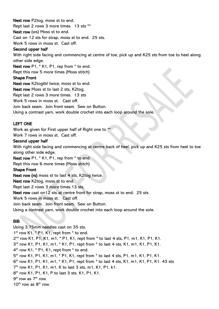Next row P2tog, moss st to end. Rept last 2 rows 3 more times. 13 sts \*\* Next row (ws) Moss st to end. Cast on 12 sts for strap, moss st to end. 25 sts. Work 5 rows in moss st. Cast off.

#### Second upper half

With right side facing and commencing at centre of toe, pick up and K25 sts from toe to heel along other side edge.

Next row P1,  $*$  K1, P1, rep from  $*$  to end.

Rept this row 5 more times (Moss stitch)

### Shape Front

Next row K2togtbl twice, moss st to end.

Next row Moss st to last 2 sts, K2tog.

Rept last 2 rows 3 more times. 13 sts

Work 5 rows in moss st. Cast off.

Join back seam. Join front seam. Sew on Button.

Using a contrast yarn, work double crochet into each loop around the sole.

# LEFT ONE

Work as given for First upper half of Right one to \*\*

Work 7 rows in moss st. Cast off.

### Second upper half

With right side facing and commencing at centre back of heel, pick up and K25 sts from heel to toe along other side edge.

Next row P1,  $*$  K1, P1, rep from  $*$  to end.

Rept this row 6 more times (Moss stitch)

# Shape Front

Next row (rs) moss st to last 4 sts, K2tog twice.

Next row K2tog, moss st to end.

Rept last 2 rows 3 more times.13 sts.

Next row cast on 12 sts at centre front for strap, moss st to end. 25 sts.

Work 5 rows in moss st. Cast off.

Join back seam. Join front seam. Sew on Button.

Using a contrast yarn, work double crochet into each loop around the sole.

# BIB

Using 3.75mm needles cast on 35 sts. 1<sup>st</sup> row K1, \* P1, K1, rept from \* to end. 2<sup>nd</sup> row K1, P1, K1, m1, \* P1, K1, rept from \* to last 4 sts, P1, m1, K1, P1, K1. 3 rd row K1, P1, K1, m1, \* K1, P1, rept from \* to last 4 sts, K1, m1, K1, P1, K1. 4 th row K1, \* P1, K1, rept from \* to end. 5 th row K1, P1, K1, m1, \* P1, K1, rept from \* to last 4 sts, P1, m1, K1, P1, K1. 6 th row K1, P1, K1, m1, \* K1, P1, rept from \* to last 4 sts, K1, m1, K1, P1, K1. 43 sts 7<sup>th</sup> row K1, P1, K1, m1, K to last 3 sts, m1, K1, P1, k1. 8 th row K1, P1, K1, P to last 3 sts. K1, P1, K1.  $9<sup>th</sup>$  row as  $7<sup>th</sup>$  row.  $10^{th}$  row as  $8^{th}$  row.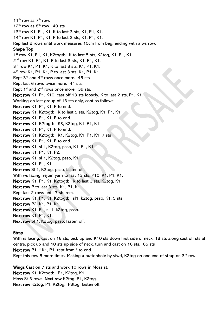11<sup>th</sup> row as  $7<sup>th</sup>$  row.  $12^{th}$  row as  $8^{th}$  row. 49 sts 13<sup>th</sup> row K1, P1, K1, K to last 3 sts, K1, P1, K1. 14th row K1, P1, K1, P to last 3 sts, K1, P1, K1. Rep last 2 rows until work measures 10cm from beg, ending with a ws row. Shape Top 1 st row K1, P1, K1, K2togtbl, K to last 5 sts, K2tog, K1, P1, K1. 2 nd row K1, P1, K1, P to last 3 sts, K1, P1, K1. 3 rd row K1, P1, K1, K to last 3 sts, K1, P1, K1. 4 th row K1, P1, K1, P to last 3 sts, K1, P1, K1. Rept 3<sup>rd</sup> and 4<sup>th</sup> rows once more. 45 sts Rept last 6 rows twice more. 41 sts. Rept  $1<sup>st</sup>$  and  $2<sup>nd</sup>$  rows once more. 39 sts. Next row K1, P1, K10, cast off 13 sts loosely, K to last 2 sts, P1, K1. Working on last group of 13 sts only, cont as follows: Next row K1, P1, K1, P to end. Next row K1, K2togtbl, K to last 5 sts, K2tog, K1, P1, K1. Next row K1, P1, K1, P to end. Next row K1, K2togtbl, K3, K2tog, K1, P1, K1. Next row K<sub>1</sub>, P<sub>1</sub>, K<sub>1</sub>, P<sub>to</sub> end. Next row K1, K2togtbl, K1, K2tog, K1, P1, K1. 7 sts Next row K1, P1, K1, P to end. Next row K1, sl 1, K2tog, psso, K1, P1, K1. Next row K1, P1, K1, P2. Next row K1, sl 1, K2tog, psso, K1 Next row K1, P1, K1. Next row Sl 1, K2tog, psso, fasten off. With ws facing, rejoin yarn to last 13 sts, P10, K1, P1, K1. Next row K1, P1, K1, K2togtbl, K to last 3 sts, K2tog, K1. Next row P to last 3 sts, K1, P1, K1. Rept last 2 rows until 7 sts rem. Next row K1, P1, K1, K2togtbl, sl1, k2tog, psso, K1. 5 sts Next row P2, K1, P1, K1. Next row K1, P1, sl 1, k2tog, psso. Next row K1, P1, K1. Next row Sl 1, K2tog, psso, fasten off.

### **Strap**

With rs facing, cast on 16 sts, pick up and K10 sts down first side of neck, 13 sts along cast off sts at centre, pick up and 10 sts up side of neck, turn and cast on 16 sts. 65 sts Next row P1,  $*$  K1, P1, rept from  $*$  to end. Rept this row 5 more times. Making a buttonhole by yfwd, K2tog on one end of strap on 3<sup>rd</sup> row.

Wings Cast on 7 sts and work 10 rows in Moss st. Next row K1, K2togtbl, P1, K2tog, K1. Moss St 3 rows. Next row K2tog, P1, K2tog. Next row K2tog, P1, K2tog. P3tog, fasten off.